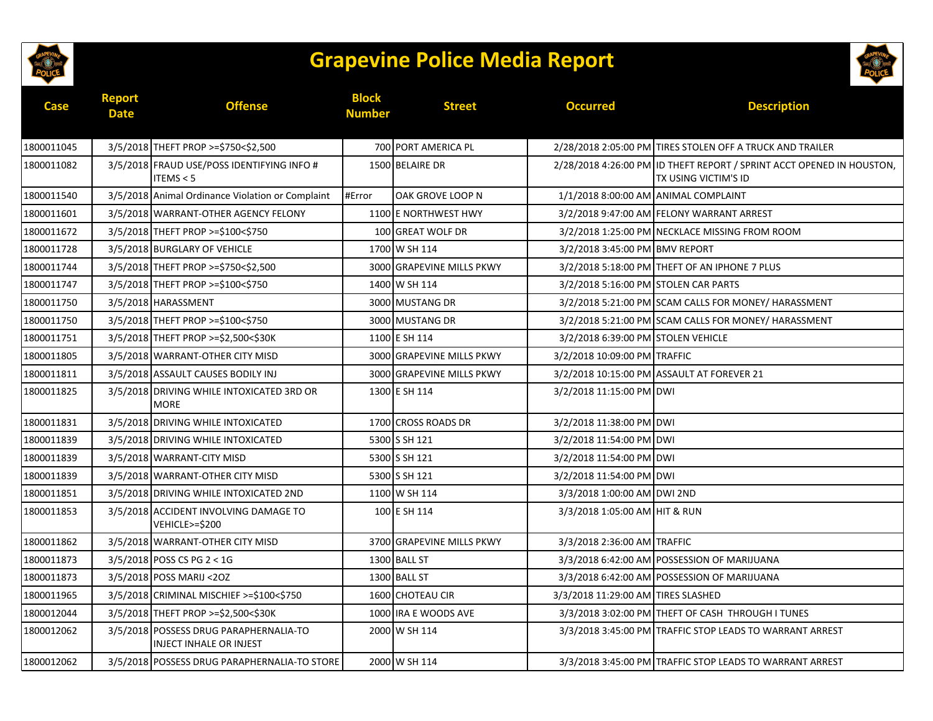

## **Grapevine Police Media Report**



| <b>Case</b> | <b>Report</b><br><b>Date</b> | <b>Offense</b>                                                           | <b>Block</b><br><b>Number</b> | <b>Street</b>             | <b>Occurred</b>                      | <b>Description</b>                                                                                   |
|-------------|------------------------------|--------------------------------------------------------------------------|-------------------------------|---------------------------|--------------------------------------|------------------------------------------------------------------------------------------------------|
| 1800011045  |                              | 3/5/2018 THEFT PROP >=\$750<\$2,500                                      |                               | 700 PORT AMERICA PL       |                                      | 2/28/2018 2:05:00 PM TIRES STOLEN OFF A TRUCK AND TRAILER                                            |
| 1800011082  |                              | 3/5/2018 FRAUD USE/POSS IDENTIFYING INFO #<br>ITEMS < 5                  |                               | 1500 BELAIRE DR           |                                      | 2/28/2018 4:26:00 PM ID THEFT REPORT / SPRINT ACCT OPENED IN HOUSTON,<br><b>TX USING VICTIM'S ID</b> |
| 1800011540  |                              | 3/5/2018 Animal Ordinance Violation or Complaint                         | #Error                        | OAK GROVE LOOP N          | 1/1/2018 8:00:00 AM ANIMAL COMPLAINT |                                                                                                      |
| 1800011601  |                              | 3/5/2018 WARRANT-OTHER AGENCY FELONY                                     |                               | 1100 E NORTHWEST HWY      |                                      | 3/2/2018 9:47:00 AM FELONY WARRANT ARREST                                                            |
| 1800011672  |                              | 3/5/2018 THEFT PROP >=\$100<\$750                                        |                               | 100 GREAT WOLF DR         |                                      | 3/2/2018 1:25:00 PM NECKLACE MISSING FROM ROOM                                                       |
| 1800011728  |                              | 3/5/2018 BURGLARY OF VEHICLE                                             |                               | 1700 W SH 114             | 3/2/2018 3:45:00 PM BMV REPORT       |                                                                                                      |
| 1800011744  |                              | 3/5/2018 THEFT PROP >=\$750<\$2,500                                      |                               | 3000 GRAPEVINE MILLS PKWY |                                      | 3/2/2018 5:18:00 PM THEFT OF AN IPHONE 7 PLUS                                                        |
| 1800011747  |                              | 3/5/2018 THEFT PROP >=\$100<\$750                                        |                               | 1400 W SH 114             | 3/2/2018 5:16:00 PM STOLEN CAR PARTS |                                                                                                      |
| 1800011750  |                              | 3/5/2018 HARASSMENT                                                      |                               | 3000 MUSTANG DR           |                                      | 3/2/2018 5:21:00 PM SCAM CALLS FOR MONEY/ HARASSMENT                                                 |
| 1800011750  |                              | 3/5/2018 THEFT PROP >=\$100<\$750                                        |                               | 3000 MUSTANG DR           |                                      | 3/2/2018 5:21:00 PM SCAM CALLS FOR MONEY/ HARASSMENT                                                 |
| 1800011751  |                              | 3/5/2018 THEFT PROP >=\$2,500<\$30K                                      |                               | 1100 E SH 114             | 3/2/2018 6:39:00 PM STOLEN VEHICLE   |                                                                                                      |
| 1800011805  |                              | 3/5/2018 WARRANT-OTHER CITY MISD                                         |                               | 3000 GRAPEVINE MILLS PKWY | 3/2/2018 10:09:00 PM TRAFFIC         |                                                                                                      |
| 1800011811  |                              | 3/5/2018 ASSAULT CAUSES BODILY INJ                                       |                               | 3000 GRAPEVINE MILLS PKWY |                                      | 3/2/2018 10:15:00 PM ASSAULT AT FOREVER 21                                                           |
| 1800011825  |                              | 3/5/2018 DRIVING WHILE INTOXICATED 3RD OR<br><b>MORE</b>                 |                               | 1300 E SH 114             | 3/2/2018 11:15:00 PM DWI             |                                                                                                      |
| 1800011831  |                              | 3/5/2018 DRIVING WHILE INTOXICATED                                       |                               | 1700 CROSS ROADS DR       | 3/2/2018 11:38:00 PM DWI             |                                                                                                      |
| 1800011839  |                              | 3/5/2018 DRIVING WHILE INTOXICATED                                       |                               | 5300 S SH 121             | 3/2/2018 11:54:00 PM DWI             |                                                                                                      |
| 1800011839  |                              | 3/5/2018 WARRANT-CITY MISD                                               |                               | 5300 S SH 121             | 3/2/2018 11:54:00 PM DWI             |                                                                                                      |
| 1800011839  |                              | 3/5/2018 WARRANT-OTHER CITY MISD                                         |                               | 5300 S SH 121             | 3/2/2018 11:54:00 PM DWI             |                                                                                                      |
| 1800011851  |                              | 3/5/2018 DRIVING WHILE INTOXICATED 2ND                                   |                               | 1100 W SH 114             | 3/3/2018 1:00:00 AM DWI 2ND          |                                                                                                      |
| 1800011853  |                              | 3/5/2018 ACCIDENT INVOLVING DAMAGE TO<br>VEHICLE>=\$200                  |                               | 100 E SH 114              | 3/3/2018 1:05:00 AM HIT & RUN        |                                                                                                      |
| 1800011862  |                              | 3/5/2018 WARRANT-OTHER CITY MISD                                         |                               | 3700 GRAPEVINE MILLS PKWY | 3/3/2018 2:36:00 AM TRAFFIC          |                                                                                                      |
| 1800011873  |                              | 3/5/2018 POSS CS PG 2 < 1G                                               |                               | 1300 BALL ST              |                                      | 3/3/2018 6:42:00 AM POSSESSION OF MARIJUANA                                                          |
| 1800011873  |                              | 3/5/2018 POSS MARIJ < 202                                                |                               | 1300 BALL ST              |                                      | 3/3/2018 6:42:00 AM POSSESSION OF MARIJUANA                                                          |
| 1800011965  |                              | 3/5/2018 CRIMINAL MISCHIEF >=\$100<\$750                                 |                               | 1600 CHOTEAU CIR          | 3/3/2018 11:29:00 AM TIRES SLASHED   |                                                                                                      |
| 1800012044  |                              | 3/5/2018 THEFT PROP >=\$2,500<\$30K                                      |                               | 1000 IRA E WOODS AVE      |                                      | 3/3/2018 3:02:00 PM THEFT OF CASH THROUGH I TUNES                                                    |
| 1800012062  |                              | 3/5/2018 POSSESS DRUG PARAPHERNALIA-TO<br><b>INJECT INHALE OR INJEST</b> |                               | 2000 W SH 114             |                                      | 3/3/2018 3:45:00 PM TRAFFIC STOP LEADS TO WARRANT ARREST                                             |
| 1800012062  |                              | 3/5/2018 POSSESS DRUG PARAPHERNALIA-TO STORE                             |                               | 2000 W SH 114             |                                      | 3/3/2018 3:45:00 PM TRAFFIC STOP LEADS TO WARRANT ARREST                                             |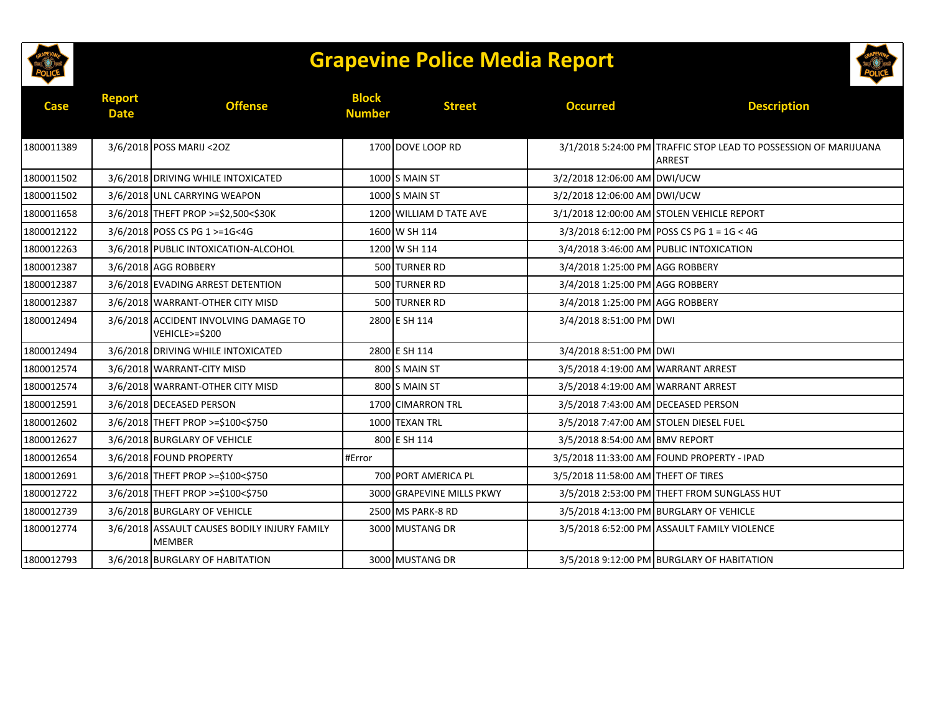

## **Grapevine Police Media Report**



| Case       | <b>Report</b><br><b>Date</b> | <b>Offense</b>                                                | <b>Block</b><br><b>Number</b> | <b>Street</b>             | <b>Occurred</b>                        | <b>Description</b>                                                                |
|------------|------------------------------|---------------------------------------------------------------|-------------------------------|---------------------------|----------------------------------------|-----------------------------------------------------------------------------------|
| 1800011389 |                              | 3/6/2018 POSS MARIJ < 202                                     |                               | 1700 DOVE LOOP RD         |                                        | 3/1/2018 5:24:00 PM TRAFFIC STOP LEAD TO POSSESSION OF MARIJUANA<br><b>ARREST</b> |
| 1800011502 |                              | 3/6/2018 DRIVING WHILE INTOXICATED                            |                               | $1000$ S MAIN ST          | 3/2/2018 12:06:00 AM DWI/UCW           |                                                                                   |
| 1800011502 |                              | 3/6/2018 UNL CARRYING WEAPON                                  |                               | $1000$ S MAIN ST          | 3/2/2018 12:06:00 AM DWI/UCW           |                                                                                   |
| 1800011658 |                              | 3/6/2018 THEFT PROP >=\$2,500<\$30K                           |                               | 1200 WILLIAM D TATE AVE   |                                        | 3/1/2018 12:00:00 AM STOLEN VEHICLE REPORT                                        |
| 1800012122 |                              | 3/6/2018 POSS CS PG 1 >=1G<4G                                 |                               | 1600 W SH 114             |                                        | 3/3/2018 6:12:00 PM POSS CS PG 1 = 1G < 4G                                        |
| 1800012263 |                              | 3/6/2018 PUBLIC INTOXICATION-ALCOHOL                          |                               | 1200 W SH 114             |                                        | 3/4/2018 3:46:00 AM PUBLIC INTOXICATION                                           |
| 1800012387 |                              | 3/6/2018 AGG ROBBERY                                          |                               | 500 TURNER RD             | 3/4/2018 1:25:00 PM AGG ROBBERY        |                                                                                   |
| 1800012387 |                              | 3/6/2018 EVADING ARREST DETENTION                             |                               | 500 TURNER RD             | 3/4/2018 1:25:00 PM AGG ROBBERY        |                                                                                   |
| 1800012387 |                              | 3/6/2018 WARRANT-OTHER CITY MISD                              |                               | 500 TURNER RD             | 3/4/2018 1:25:00 PM AGG ROBBERY        |                                                                                   |
| 1800012494 |                              | 3/6/2018 ACCIDENT INVOLVING DAMAGE TO<br>VEHICLE>=\$200       |                               | 2800 E SH 114             | 3/4/2018 8:51:00 PM DWI                |                                                                                   |
| 1800012494 |                              | 3/6/2018 DRIVING WHILE INTOXICATED                            |                               | 2800 E SH 114             | 3/4/2018 8:51:00 PM DWI                |                                                                                   |
| 1800012574 |                              | 3/6/2018 WARRANT-CITY MISD                                    |                               | 800 S MAIN ST             | 3/5/2018 4:19:00 AM WARRANT ARREST     |                                                                                   |
| 1800012574 |                              | 3/6/2018 WARRANT-OTHER CITY MISD                              |                               | 800 S MAIN ST             | 3/5/2018 4:19:00 AM WARRANT ARREST     |                                                                                   |
| 1800012591 |                              | 3/6/2018 DECEASED PERSON                                      |                               | 1700 CIMARRON TRL         | 3/5/2018 7:43:00 AM DECEASED PERSON    |                                                                                   |
| 1800012602 |                              | 3/6/2018 THEFT PROP >=\$100<\$750                             |                               | 1000 TEXAN TRL            | 3/5/2018 7:47:00 AM STOLEN DIESEL FUEL |                                                                                   |
| 1800012627 |                              | 3/6/2018 BURGLARY OF VEHICLE                                  |                               | 800 E SH 114              | 3/5/2018 8:54:00 AM BMV REPORT         |                                                                                   |
| 1800012654 |                              | 3/6/2018 FOUND PROPERTY                                       | #Error                        |                           |                                        | 3/5/2018 11:33:00 AM FOUND PROPERTY - IPAD                                        |
| 1800012691 |                              | 3/6/2018 THEFT PROP >=\$100<\$750                             |                               | 700 PORT AMERICA PL       | 3/5/2018 11:58:00 AM THEFT OF TIRES    |                                                                                   |
| 1800012722 |                              | 3/6/2018 THEFT PROP >=\$100<\$750                             |                               | 3000 GRAPEVINE MILLS PKWY |                                        | 3/5/2018 2:53:00 PM THEFT FROM SUNGLASS HUT                                       |
| 1800012739 |                              | 3/6/2018 BURGLARY OF VEHICLE                                  |                               | 2500 MS PARK-8 RD         |                                        | 3/5/2018 4:13:00 PM BURGLARY OF VEHICLE                                           |
| 1800012774 |                              | 3/6/2018 ASSAULT CAUSES BODILY INJURY FAMILY<br><b>MEMBER</b> |                               | 3000 MUSTANG DR           |                                        | 3/5/2018 6:52:00 PM ASSAULT FAMILY VIOLENCE                                       |
| 1800012793 |                              | 3/6/2018 BURGLARY OF HABITATION                               |                               | 3000 MUSTANG DR           |                                        | 3/5/2018 9:12:00 PM BURGLARY OF HABITATION                                        |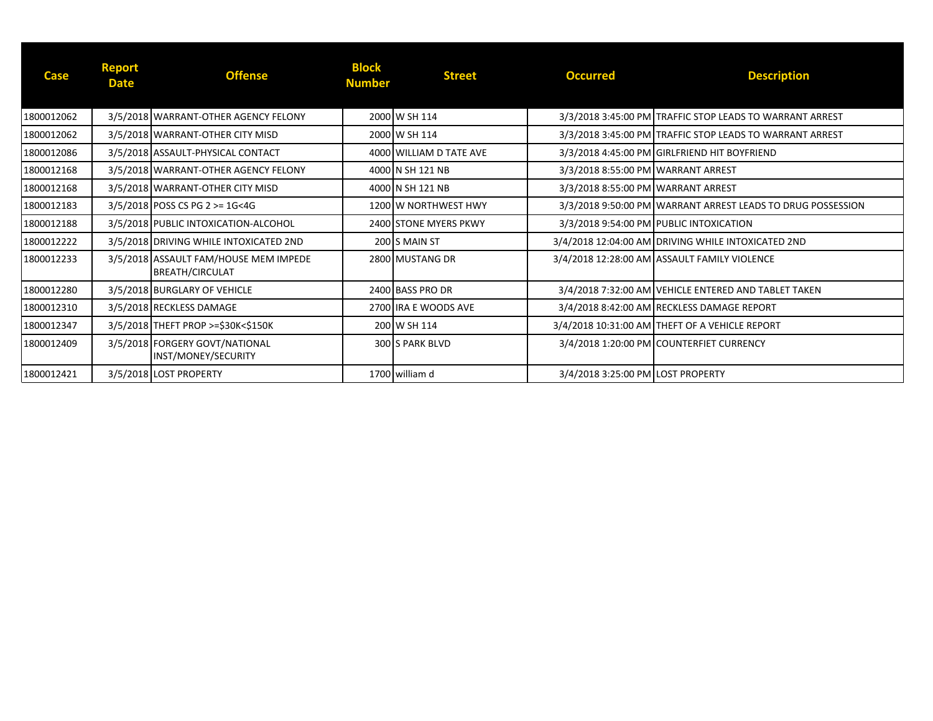| <b>Case</b> | <b>Report</b><br><b>Date</b> | <b>Offense</b>                                                  | <b>Block</b><br><b>Number</b> | <b>Street</b>           | <b>Occurred</b>                    | <b>Description</b>                                            |
|-------------|------------------------------|-----------------------------------------------------------------|-------------------------------|-------------------------|------------------------------------|---------------------------------------------------------------|
| 1800012062  |                              | 3/5/2018 WARRANT-OTHER AGENCY FELONY                            |                               | 2000 W SH 114           |                                    | 3/3/2018 3:45:00 PM TRAFFIC STOP LEADS TO WARRANT ARREST      |
| 1800012062  |                              | 3/5/2018 WARRANT-OTHER CITY MISD                                |                               | 2000 W SH 114           |                                    | 3/3/2018 3:45:00 PM TRAFFIC STOP LEADS TO WARRANT ARREST      |
| 1800012086  |                              | 3/5/2018 ASSAULT-PHYSICAL CONTACT                               |                               | 4000 WILLIAM D TATE AVE |                                    | 3/3/2018 4:45:00 PM GIRLFRIEND HIT BOYFRIEND                  |
| 1800012168  |                              | 3/5/2018 WARRANT-OTHER AGENCY FELONY                            |                               | 4000 IN SH 121 NB       | 3/3/2018 8:55:00 PM WARRANT ARREST |                                                               |
| 1800012168  |                              | 3/5/2018 WARRANT-OTHER CITY MISD                                |                               | 4000 IN SH 121 NB       | 3/3/2018 8:55:00 PM WARRANT ARREST |                                                               |
| 1800012183  |                              | $3/5/2018$ POSS CS PG 2 >= 1G<4G                                |                               | 1200 W NORTHWEST HWY    |                                    | 3/3/2018 9:50:00 PM   WARRANT ARREST LEADS TO DRUG POSSESSION |
| 1800012188  |                              | 3/5/2018 PUBLIC INTOXICATION-ALCOHOL                            |                               | 2400 STONE MYERS PKWY   |                                    | 3/3/2018 9:54:00 PM PUBLIC INTOXICATION                       |
| 1800012222  |                              | 3/5/2018 DRIVING WHILE INTOXICATED 2ND                          |                               | 200 S MAIN ST           |                                    | 3/4/2018 12:04:00 AM DRIVING WHILE INTOXICATED 2ND            |
| 1800012233  |                              | 3/5/2018 ASSAULT FAM/HOUSE MEM IMPEDE<br><b>BREATH/CIRCULAT</b> |                               | 2800 MUSTANG DR         |                                    | 3/4/2018 12:28:00 AM ASSAULT FAMILY VIOLENCE                  |
| 1800012280  |                              | 3/5/2018 BURGLARY OF VEHICLE                                    |                               | 2400 BASS PRO DR        |                                    | 3/4/2018 7:32:00 AM VEHICLE ENTERED AND TABLET TAKEN          |
| 1800012310  |                              | 3/5/2018 RECKLESS DAMAGE                                        |                               | 2700 JIRA E WOODS AVE   |                                    | 3/4/2018 8:42:00 AM RECKLESS DAMAGE REPORT                    |
| 1800012347  |                              | 3/5/2018 THEFT PROP >=\$30K<\$150K                              |                               | 200 W SH 114            |                                    | 3/4/2018 10:31:00 AM THEFT OF A VEHICLE REPORT                |
| 1800012409  |                              | 3/5/2018 FORGERY GOVT/NATIONAL<br>INST/MONEY/SECURITY           |                               | 300 S PARK BLVD         |                                    | 3/4/2018 1:20:00 PM COUNTERFIET CURRENCY                      |
| 1800012421  |                              | 3/5/2018 LOST PROPERTY                                          |                               | 1700 william d          | 3/4/2018 3:25:00 PM LOST PROPERTY  |                                                               |